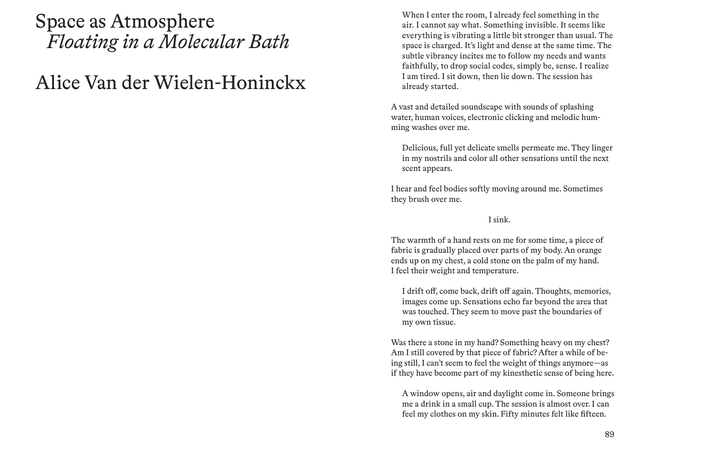# Space as Atmosphere *Floating in a Molecular Bath*

# Alice Van der Wielen-Honinckx

When I enter the room, I already feel something in the air. I cannot say what. Something invisible. It seems like everything is vibrating a little bit stronger than usual. The space is charged. It's light and dense at the same time. The subtle vibrancy incites me to follow my needs and wants faithfully, to drop social codes, simply be, sense. I realize I am tired. I sit down, then lie down. The session has already started.

A vast and detailed soundscape with sounds of splashing water, human voices, electronic clicking and melodic humming washes over me.

Delicious, full yet delicate smells permeate me. They linger in my nostrils and color all other sensations until the next scent appears.

I hear and feel bodies softly moving around me. Sometimes they brush over me.

## I sink.

The warmth of a hand rests on me for some time, a piece of fabric is gradually placed over parts of my body. An orange ends up on my chest, a cold stone on the palm of my hand. I feel their weight and temperature.

I drift off, come back, drift off again. Thoughts, memories, images come up. Sensations echo far beyond the area that was touched. They seem to move past the boundaries of my own tissue.

Was there a stone in my hand? Something heavy on my chest? Am I still covered by that piece of fabric? After a while of being still, I can't seem to feel the weight of things anymore—as if they have become part of my kinesthetic sense of being here.

A window opens, air and daylight come in. Someone brings me a drink in a small cup. The session is almost over. I can feel my clothes on my skin. Fifty minutes felt like fifteen.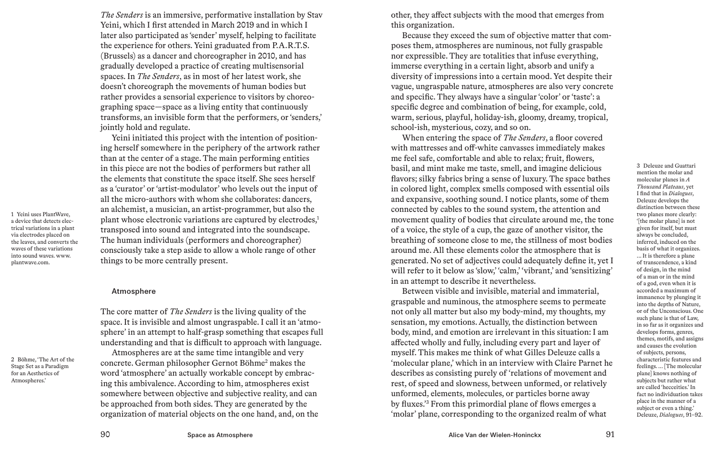*The Senders* is an immersive, performative installation by Stav Yeini, which I first attended in March 2019 and in which I later also participated as 'sender' myself, helping to facilitate the experience for others. Yeini graduated from P.A.R.T.S. (Brussels) as a dancer and choreographer in 2010, and has gradually developed a practice of creating multisensorial spaces. In *The Senders*, as in most of her latest work, she doesn't choreograph the movements of human bodies but rather provides a sensorial experience to visitors by choreographing space—space as a living entity that continuously transforms, an invisible form that the performers, or 'senders,' jointly hold and regulate.

Yeini initiated this project with the intention of positioning herself somewhere in the periphery of the artwork rather than at the center of a stage. The main performing entities in this piece are not the bodies of performers but rather all the elements that constitute the space itself. She sees herself as a 'curator' or 'artist-modulator' who levels out the input of all the micro-authors with whom she collaborates: dancers, an alchemist, a musician, an artist-programmer, but also the plant whose electronic variations are captured by electrodes,<sup>1</sup> transposed into sound and integrated into the soundscape. The human individuals (performers and choreographer) consciously take a step aside to allow a whole range of other things to be more centrally present.

#### Atmosphere

1 Yeini uses PlantWave, a device that detects electrical variations in a plant via electrodes placed on the leaves, and converts the waves of these variations into sound waves. www. plantwave.com.

2 Böhme, 'The Art of the Stage Set as a Paradigm for an Aesthetics of Atmospheres.'

The core matter of *The Senders* is the living quality of the space. It is invisible and almost ungraspable. I call it an 'atmosphere' in an attempt to half-grasp something that escapes full understanding and that is difficult to approach with language. Atmospheres are at the same time intangible and very

concrete. German philosopher Gernot Böhme<sup>2</sup> makes the word 'atmosphere' an actually workable concept by embracing this ambivalence. According to him, atmospheres exist somewhere between objective and subjective reality, and can be approached from both sides. They are generated by the organization of material objects on the one hand, and, on the other, they affect subjects with the mood that emerges from this organization.

Because they exceed the sum of objective matter that composes them, atmospheres are numinous, not fully graspable nor expressible. They are totalities that infuse everything, immerse everything in a certain light, absorb and unify a diversity of impressions into a certain mood. Yet despite their vague, ungraspable nature, atmospheres are also very concrete and specific. They always have a singular 'color' or 'taste': a specific degree and combination of being, for example, cold, warm, serious, playful, holiday-ish, gloomy, dreamy, tropical, school-ish, mysterious, cozy, and so on.

When entering the space of *The Senders*, a floor covered with mattresses and off-white canvasses immediately makes me feel safe, comfortable and able to relax; fruit, flowers, basil, and mint make me taste, smell, and imagine delicious flavors; silky fabrics bring a sense of luxury. The space bathes in colored light, complex smells composed with essential oils and expansive, soothing sound. I notice plants, some of them connected by cables to the sound system, the attention and movement quality of bodies that circulate around me, the tone of a voice, the style of a cup, the gaze of another visitor, the breathing of someone close to me, the stillness of most bodies around me. All these elements color the atmosphere that is generated. No set of adjectives could adequately define it, yet I will refer to it below as 'slow,' 'calm,' 'vibrant,' and 'sensitizing' in an attempt to describe it nevertheless.

Between visible and invisible, material and immaterial, graspable and numinous, the atmosphere seems to permeate not only all matter but also my body-mind, my thoughts, my sensation, my emotions. Actually, the distinction between body, mind, and emotion are irrelevant in this situation: I am affected wholly and fully, including every part and layer of myself. This makes me think of what Gilles Deleuze calls a 'molecular plane,' which in an interview with Claire Parnet he describes as consisting purely of 'relations of movement and rest, of speed and slowness, between unformed, or relatively unformed, elements, molecules, or particles borne away by fluxes.'3 From this primordial plane of flows emerges a 'molar' plane, corresponding to the organized realm of what

3 Deleuze and Guattari mention the molar and molecular planes in *A Thousand Plateaus*, yet I find that in *Dialogues*, Deleuze develops the distinction between these two planes more clearly: '[the molar plane] is not given for itself, but must always be concluded, inferred, induced on the basis of what it organizes. ... It is therefore a plane of transcendence, a kind of design, in the mind of a man or in the mind of a god, even when it is accorded a maximum of immanence by plunging it into the depths of Nature, or of the Unconscious. One such plane is that of Law, in so far as it organizes and develops forms, genres, themes, motifs, and assigns and causes the evolution of subjects, persons, characteristic features and feelings. ... [The molecular plane] knows nothing of subjects but rather what are called 'hecceities.' In fact no individuation takes place in the manner of a subject or even a thing.' Deleuze, *Dialogues*, 91–92.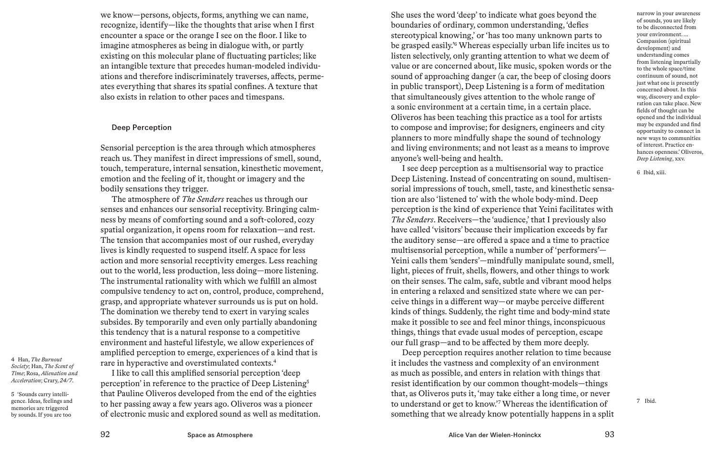we know—persons, objects, forms, anything we can name, recognize, identify—like the thoughts that arise when I first encounter a space or the orange I see on the floor. I like to imagine atmospheres as being in dialogue with, or partly existing on this molecular plane of fluctuating particles; like an intangible texture that precedes human-modeled individuations and therefore indiscriminately traverses, affects, permeates everything that shares its spatial confines. A texture that also exists in relation to other paces and timespans.

### Deep Perception

Sensorial perception is the area through which atmospheres reach us. They manifest in direct impressions of smell, sound, touch, temperature, internal sensation, kinesthetic movement, emotion and the feeling of it, thought or imagery and the bodily sensations they trigger.

The atmosphere of *The Senders* reaches us through our senses and enhances our sensorial receptivity. Bringing calmness by means of comforting sound and a soft-colored, cozy spatial organization, it opens room for relaxation—and rest. The tension that accompanies most of our rushed, everyday lives is kindly requested to suspend itself. A space for less action and more sensorial receptivity emerges. Less reaching out to the world, less production, less doing—more listening. The instrumental rationality with which we fulfill an almost compulsive tendency to act on, control, produce, comprehend, grasp, and appropriate whatever surrounds us is put on hold. The domination we thereby tend to exert in varying scales subsides. By temporarily and even only partially abandoning this tendency that is a natural response to a competitive environment and hasteful lifestyle, we allow experiences of amplified perception to emerge, experiences of a kind that is rare in hyperactive and overstimulated contexts.4

I like to call this amplified sensorial perception 'deep perception' in reference to the practice of Deep Listening5 that Pauline Oliveros developed from the end of the eighties to her passing away a few years ago. Oliveros was a pioneer of electronic music and explored sound as well as meditation.

4 Han, *The Burnout Society*; Han, *The Scent of Time*; Rosa, *Alienation and Acceleration*; Crary, *24/7*.

5 'Sounds carry intelligence. Ideas, feelings and memories are triggered by sounds. If you are too

She uses the word 'deep' to indicate what goes beyond the boundaries of ordinary, common understanding, 'defies stereotypical knowing,' or 'has too many unknown parts to be grasped easily.'6 Whereas especially urban life incites us to listen selectively, only granting attention to what we deem of value or are concerned about, like music, spoken words or the sound of approaching danger (a car, the beep of closing doors in public transport), Deep Listening is a form of meditation that simultaneously gives attention to the whole range of a sonic environment at a certain time, in a certain place. Oliveros has been teaching this practice as a tool for artists to compose and improvise; for designers, engineers and city planners to more mindfully shape the sound of technology and living environments; and not least as a means to improve anyone's well-being and health.

I see deep perception as a multisensorial way to practice Deep Listening. Instead of concentrating on sound, multisensorial impressions of touch, smell, taste, and kinesthetic sensation are also 'listened to' with the whole body-mind. Deep perception is the kind of experience that Yeini facilitates with *The Senders*. Receivers—the 'audience,' that I previously also have called 'visitors' because their implication exceeds by far the auditory sense—are offered a space and a time to practice multisensorial perception, while a number of 'performers'— Yeini calls them 'senders'—mindfully manipulate sound, smell, light, pieces of fruit, shells, flowers, and other things to work on their senses. The calm, safe, subtle and vibrant mood helps in entering a relaxed and sensitized state where we can perceive things in a different way—or maybe perceive different kinds of things. Suddenly, the right time and body-mind state make it possible to see and feel minor things, inconspicuous things, things that evade usual modes of perception, escape our full grasp—and to be affected by them more deeply.

Deep perception requires another relation to time because it includes the vastness and complexity of an environment as much as possible, and enters in relation with things that resist identification by our common thought-models—things that, as Oliveros puts it, 'may take either a long time, or never to understand or get to know.'7 Whereas the identification of something that we already know potentially happens in a split narrow in your awareness of sounds, you are likely to be disconnected from your environment. ... Compassion (spiritual development) and understanding comes from listening impartially to the whole space/time continuum of sound, not just what one is presently concerned about. In this way, discovery and exploration can take place. New fields of thought can be opened and the individual may be expanded and find opportunity to connect in new ways to communities of interest. Practice enhances openness.' Oliveros, *Deep Listening*, xxv.

6 Ibid, xiii.

7 Ibid.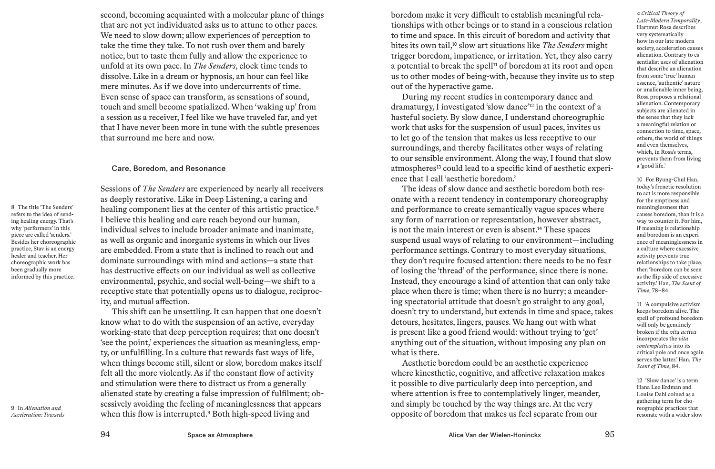second, becoming acquainted with a molecular plane of things that are not yet individuated asks us to attune to other paces. We need to slow down; allow experiences of perception to take the time they take. To not rush over them and barely notice, but to taste them fully and allow the experience to unfold at its own pace. In *The Senders*, clock time tends to dissolve. Like in a dream or hypnosis, an hour can feel like mere minutes. As if we dove into undercurrents of time. Even sense of space can transform, as sensations of sound, touch and smell become spatialized. When 'waking up' from a session as a receiver, I feel like we have traveled far, and yet that I have never been more in tune with the subtle presences that surround me here and now.

### Care, Boredom, and Resonance

Sessions of *The Senders* are experienced by nearly all receivers as deeply restorative. Like in Deep Listening, a caring and healing component lies at the center of this artistic practice.<sup>8</sup> I believe this healing and care reach beyond our human, individual selves to include broader animate and inanimate, as well as organic and inorganic systems in which our lives are embedded. From a state that is inclined to reach out and dominate surroundings with mind and actions—a state that has destructive effects on our individual as well as collective environmental, psychic, and social well-being—we shift to a receptive state that potentially opens us to dialogue, reciprocity, and mutual affection.

This shift can be unsettling. It can happen that one doesn't know what to do with the suspension of an active, everyday working-state that deep perception requires; that one doesn't 'see the point,' experiences the situation as meaningless, empty, or unfulfilling. In a culture that rewards fast ways of life, when things become still, silent or slow, boredom makes itself felt all the more violently. As if the constant flow of activity and stimulation were there to distract us from a generally alienated state by creating a false impression of fulfilment; obsessively avoiding the feeling of meaninglessness that appears when this flow is interrupted.<sup>9</sup> Both high-speed living and

boredom make it very difficult to establish meaningful relationships with other beings or to stand in a conscious relation to time and space. In this circuit of boredom and activity that bites its own tail,10 slow art situations like *The Senders* might trigger boredom, impatience, or irritation. Yet, they also carry a potential to break the spell<sup>11</sup> of boredom at its root and open us to other modes of being-with, because they invite us to step out of the hyperactive game.

During my recent studies in contemporary dance and dramaturgy, I investigated 'slow dance'12 in the context of a hasteful society. By slow dance, I understand choreographic work that asks for the suspension of usual paces, invites us to let go of the tension that makes us less receptive to our surroundings, and thereby facilitates other ways of relating to our sensible environment. Along the way, I found that slow atmospheres<sup>13</sup> could lead to a specific kind of aesthetic experience that I call 'aesthetic boredom.'

The ideas of slow dance and aesthetic boredom both resonate with a recent tendency in contemporary choreography and performance to create semantically vague spaces where any form of narration or representation, however abstract, is not the main interest or even is absent.<sup>14</sup> These spaces suspend usual ways of relating to our environment—including performance settings. Contrary to most everyday situations, they don't require focused attention: there needs to be no fear of losing the 'thread' of the performance, since there is none. Instead, they encourage a kind of attention that can only take place when there is time; when there is no hurry; a meandering spectatorial attitude that doesn't go straight to any goal, doesn't try to understand, but extends in time and space, takes detours, hesitates, lingers, pauses. We hang out with what is present like a good friend would: without trying to 'get' anything out of the situation, without imposing any plan on what is there.

Aesthetic boredom could be an aesthetic experience where kinesthetic, cognitive, and affective relaxation makes it possible to dive particularly deep into perception, and where attention is free to contemplatively linger, meander, and simply be touched by the way things are. At the very opposite of boredom that makes us feel separate from our

*a Critical Theory of Late-Modern Temporality*, Hartmut Rosa describes very systematically how in our late modern society, acceleration causes alienation. Contrary to essentialist uses of alienation that describe an alienation from some 'true' human essence, 'authentic' nature or unalienable inner being, Rosa proposes a relational alienation. Contemporary subjects are alienated in the sense that they lack a meaningful relation or connection to time, space, others, the world of things and even themselves, which, in Rosa's terms, prevents them from living a 'good life.'

10 For Byung-Chul Han, today's frenetic resolution to act is more responsible for the emptiness and meaninglessness that causes boredom, than it is a way to counter it. For him, if meaning is relationship and boredom is an experience of meaninglessness in a culture where excessive activity prevents true relationships to take place, then 'boredom can be seen as the flip side of excessive activity.' Han, *The Scent of Time*, 78–84.

11 'A compulsive activism keeps boredom alive. The spell of profound boredom will only be genuinely broken if the *vita activa* incorporates the *vita contemplativa* into its critical pole and once again serves the latter.' Han, *The Scent of Time*, 84.

12 'Slow dance' is a term Hana Lee Erdman and Louise Dahl coined as a gathering term for choreographic practices that resonate with a wider slow

9 In *Alienation and Acceleration: Towards* 

8 The title 'The Senders' refers to the idea of sending healing energy. That's why 'performers' in this piece are called 'senders.' Besides her choreographic practice, Stav is an energy healer and teacher. Her choreographic work has been gradually more informed by this practice.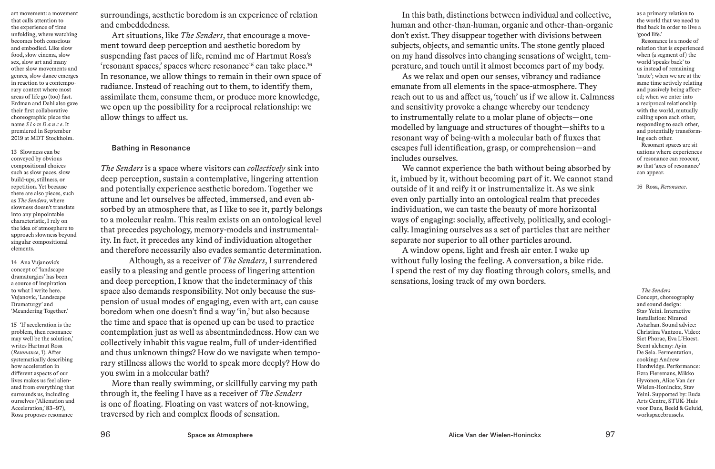art movement: a movement that calls attention to the experience of time unfolding, where watching becomes both conscious and embodied. Like slow food, slow cinema, slow sex, slow art and many other slow movements and genres, slow dance emerges in reaction to a contemporary context where most areas of life go (too) fast. Erdman and Dahl also gave their first collaborative choreographic piece the name *S l o w D a n c e*. It premiered in September 2019 at MDT Stockholm.

13 Slowness can be conveyed by obvious compositional choices such as slow paces, slow build-ups, stillness, or repetition. Yet because there are also pieces, such as *The Senders*, where slowness doesn't translate into any pinpointable characteristic, I rely on the idea of atmosphere to approach slowness beyond singular compositional elements.

14 Ana Vujanovic's concept of 'landscape dramaturgies' has been a source of inspiration to what I write here. Vujanovic, 'Landscape Dramaturgy' and 'Meandering Together.'

15 'If acceleration is the problem, then resonance may well be the solution,' writes Hartmut Rosa (*Resonance*, 1). After systematically describing how acceleration in different aspects of our lives makes us feel alienated from everything that surrounds us, including ourselves ('Alienation and Acceleration,' 83–97), Rosa proposes resonance

surroundings, aesthetic boredom is an experience of relation and embeddedness.

Art situations, like *The Senders*, that encourage a movement toward deep perception and aesthetic boredom by suspending fast paces of life, remind me of Hartmut Rosa's 'resonant spaces,' spaces where resonance15 can take place.16 In resonance, we allow things to remain in their own space of radiance. Instead of reaching out to them, to identify them, assimilate them, consume them, or produce more knowledge, we open up the possibility for a reciprocal relationship: we allow things to affect us.

#### Bathing in Resonance

*The Senders* is a space where visitors can *collectively* sink into deep perception, sustain a contemplative, lingering attention and potentially experience aesthetic boredom. Together we attune and let ourselves be affected, immersed, and even absorbed by an atmosphere that, as I like to see it, partly belongs to a molecular realm. This realm exists on an ontological level that precedes psychology, memory-models and instrumentality. In fact, it precedes any kind of individuation altogether and therefore necessarily also evades semantic determination.

Although, as a receiver of *The Senders*, I surrendered easily to a pleasing and gentle process of lingering attention and deep perception, I know that the indeterminacy of this space also demands responsibility. Not only because the suspension of usual modes of engaging, even with art, can cause boredom when one doesn't find a way 'in,' but also because the time and space that is opened up can be used to practice contemplation just as well as absentmindedness. How can we collectively inhabit this vague realm, full of under-identified and thus unknown things? How do we navigate when temporary stillness allows the world to speak more deeply? How do you swim in a molecular bath?

More than really swimming, or skillfully carving my path through it, the feeling I have as a receiver of *The Senders* is one of floating. Floating on vast waters of not-knowing, traversed by rich and complex floods of sensation.

In this bath, distinctions between individual and collective, human and other-than-human, organic and other-than-organic don't exist. They disappear together with divisions between subjects, objects, and semantic units. The stone gently placed on my hand dissolves into changing sensations of weight, temperature, and touch until it almost becomes part of my body.

As we relax and open our senses, vibrancy and radiance emanate from all elements in the space-atmosphere. They reach out to us and affect us, 'touch' us if we allow it. Calmness and sensitivity provoke a change whereby our tendency to instrumentally relate to a molar plane of objects—one modelled by language and structures of thought—shifts to a resonant way of being-with a molecular bath of fluxes that escapes full identification, grasp, or comprehension—and includes ourselves.

We cannot experience the bath without being absorbed by it, imbued by it, without becoming part of it. We cannot stand outside of it and reify it or instrumentalize it. As we sink even only partially into an ontological realm that precedes individuation, we can taste the beauty of more horizontal ways of engaging: socially, affectively, politically, and ecologically. Imagining ourselves as a set of particles that are neither separate nor superior to all other particles around.

A window opens, light and fresh air enter. I wake up without fully losing the feeling. A conversation, a bike ride. I spend the rest of my day floating through colors, smells, and sensations, losing track of my own borders.

as a primary relation to the world that we need to find back in order to live a 'good life.'

Resonance is a mode of relation that is experienced when (a segment of) the world 'speaks back' to us instead of remaining 'mute'; when we are at the same time actively relating and passively being affected; when we enter into a reciprocal relationship with the world, mutually calling upon each other, responding to each other, and potentially transforming each other. Resonant spaces are situations where experiences of resonance can reoccur, so that 'axes of resonance' can appear.

16 Rosa, *Resonance*.

*The Senders* Concept, choreography and sound design: Stav Yeini. Interactive installation: Nimrod Astarhan. Sound advice: Christina Vantzou. Video: Siet Phorae, Eva L'Hoest. Scent alchemy: Ayin De Sela. Fermentation, cooking: Andrew Hardwidge. Performance: Ezra Fieremans, Mikko Hyvönen, Alice Van der Wielen-Honinckx, Stav Yeini. Supported by: Buda Arts Centre, STUK- Huis voor Dans, Beeld & Geluid, workspacebrussels.